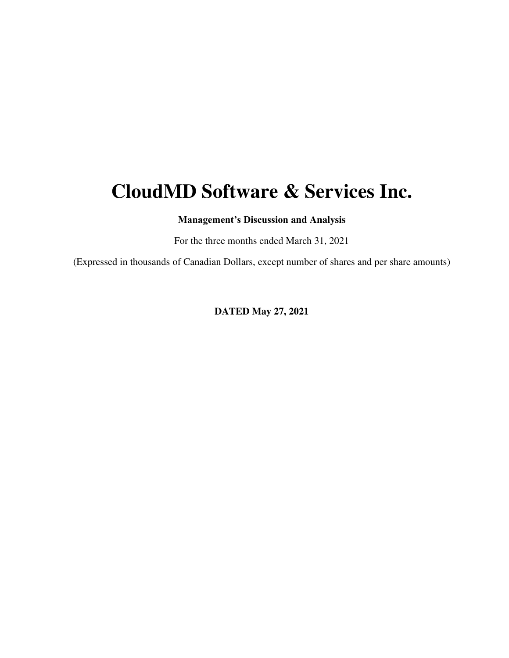# **CloudMD Software & Services Inc.**

**Management's Discussion and Analysis** 

For the three months ended March 31, 2021

(Expressed in thousands of Canadian Dollars, except number of shares and per share amounts)

**DATED May 27, 2021**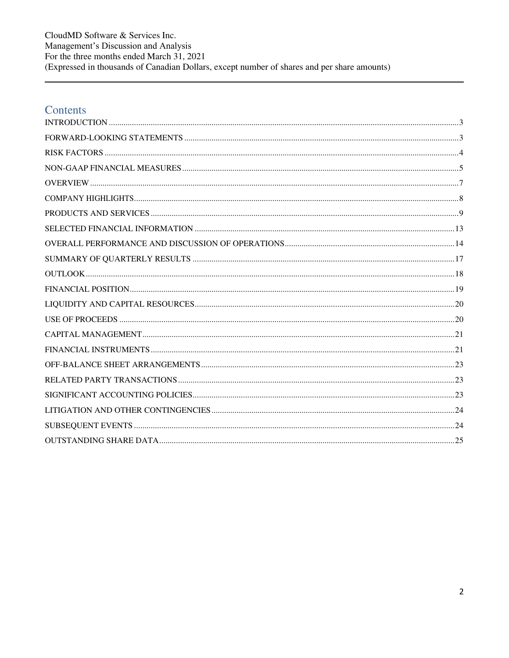CloudMD Software & Services Inc. Management's Discussion and Analysis For the three months ended March  $31, 2021$ (Expressed in thousands of Canadian Dollars, except number of shares and per share amounts)

# Contents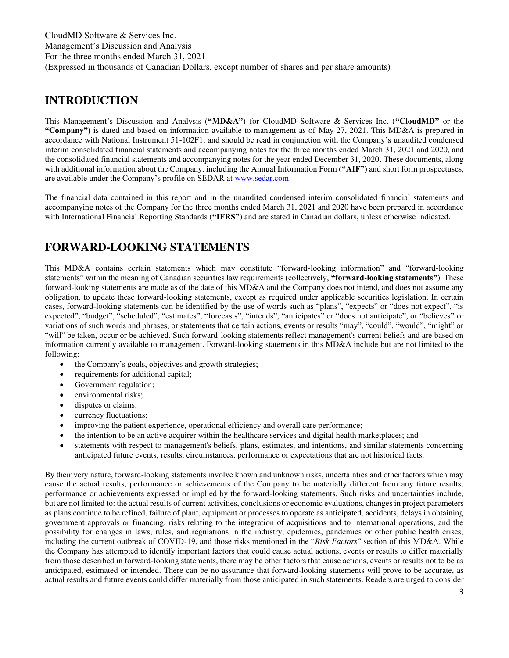# <span id="page-2-0"></span>**INTRODUCTION**

This Management's Discussion and Analysis (**"MD&A"**) for CloudMD Software & Services Inc. (**"CloudMD"** or the **"Company")** is dated and based on information available to management as of May 27, 2021. This MD&A is prepared in accordance with National Instrument 51-102F1, and should be read in conjunction with the Company's unaudited condensed interim consolidated financial statements and accompanying notes for the three months ended March 31, 2021 and 2020, and the consolidated financial statements and accompanying notes for the year ended December 31, 2020. These documents, along with additional information about the Company, including the Annual Information Form (**"AIF")** and short form prospectuses, are available under the Company's profile on SEDAR at [www.sedar.com.](http://www.sedar.com/)

The financial data contained in this report and in the unaudited condensed interim consolidated financial statements and accompanying notes of the Company for the three months ended March 31, 2021 and 2020 have been prepared in accordance with International Financial Reporting Standards (**"IFRS"**) and are stated in Canadian dollars, unless otherwise indicated.

# <span id="page-2-1"></span>**FORWARD-LOOKING STATEMENTS**

This MD&A contains certain statements which may constitute "forward-looking information" and "forward-looking statements" within the meaning of Canadian securities law requirements (collectively, **"forward-looking statements"**). These forward-looking statements are made as of the date of this MD&A and the Company does not intend, and does not assume any obligation, to update these forward-looking statements, except as required under applicable securities legislation. In certain cases, forward-looking statements can be identified by the use of words such as "plans", "expects" or "does not expect", "is expected", "budget", "scheduled", "estimates", "forecasts", "intends", "anticipates" or "does not anticipate", or "believes" or variations of such words and phrases, or statements that certain actions, events or results "may", "could", "would", "might" or "will" be taken, occur or be achieved. Such forward-looking statements reflect management's current beliefs and are based on information currently available to management. Forward-looking statements in this MD&A include but are not limited to the following:

- the Company's goals, objectives and growth strategies;
- requirements for additional capital;
- Government regulation;
- environmental risks;
- disputes or claims;
- currency fluctuations;
- improving the patient experience, operational efficiency and overall care performance;
- the intention to be an active acquirer within the healthcare services and digital health marketplaces; and
- statements with respect to management's beliefs, plans, estimates, and intentions, and similar statements concerning anticipated future events, results, circumstances, performance or expectations that are not historical facts.

By their very nature, forward-looking statements involve known and unknown risks, uncertainties and other factors which may cause the actual results, performance or achievements of the Company to be materially different from any future results, performance or achievements expressed or implied by the forward-looking statements. Such risks and uncertainties include, but are not limited to: the actual results of current activities, conclusions or economic evaluations, changes in project parameters as plans continue to be refined, failure of plant, equipment or processes to operate as anticipated, accidents, delays in obtaining government approvals or financing, risks relating to the integration of acquisitions and to international operations, and the possibility for changes in laws, rules, and regulations in the industry, epidemics, pandemics or other public health crises, including the current outbreak of COVID-19, and those risks mentioned in the "*Risk Factors*" section of this MD&A. While the Company has attempted to identify important factors that could cause actual actions, events or results to differ materially from those described in forward-looking statements, there may be other factors that cause actions, events or results not to be as anticipated, estimated or intended. There can be no assurance that forward-looking statements will prove to be accurate, as actual results and future events could differ materially from those anticipated in such statements. Readers are urged to consider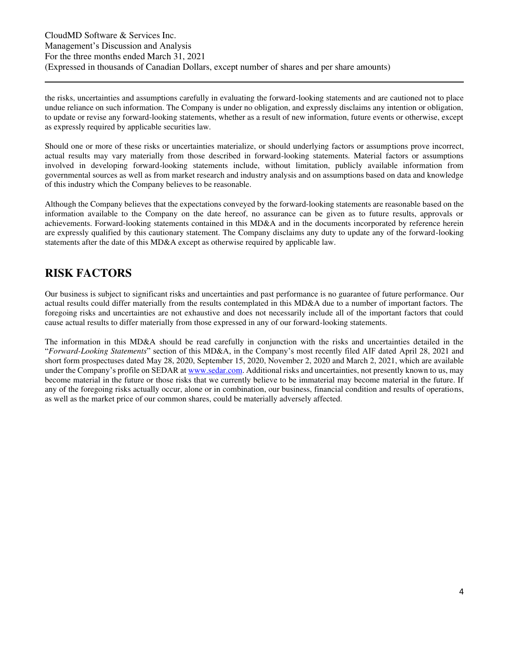the risks, uncertainties and assumptions carefully in evaluating the forward-looking statements and are cautioned not to place undue reliance on such information. The Company is under no obligation, and expressly disclaims any intention or obligation, to update or revise any forward-looking statements, whether as a result of new information, future events or otherwise, except as expressly required by applicable securities law.

Should one or more of these risks or uncertainties materialize, or should underlying factors or assumptions prove incorrect, actual results may vary materially from those described in forward-looking statements. Material factors or assumptions involved in developing forward-looking statements include, without limitation, publicly available information from governmental sources as well as from market research and industry analysis and on assumptions based on data and knowledge of this industry which the Company believes to be reasonable.

Although the Company believes that the expectations conveyed by the forward-looking statements are reasonable based on the information available to the Company on the date hereof, no assurance can be given as to future results, approvals or achievements. Forward-looking statements contained in this MD&A and in the documents incorporated by reference herein are expressly qualified by this cautionary statement. The Company disclaims any duty to update any of the forward-looking statements after the date of this MD&A except as otherwise required by applicable law.

# <span id="page-3-0"></span>**RISK FACTORS**

Our business is subject to significant risks and uncertainties and past performance is no guarantee of future performance. Our actual results could differ materially from the results contemplated in this MD&A due to a number of important factors. The foregoing risks and uncertainties are not exhaustive and does not necessarily include all of the important factors that could cause actual results to differ materially from those expressed in any of our forward-looking statements.

The information in this MD&A should be read carefully in conjunction with the risks and uncertainties detailed in the "*Forward-Looking Statements*" section of this MD&A, in the Company's most recently filed AIF dated April 28, 2021 and short form prospectuses dated May 28, 2020, September 15, 2020, November 2, 2020 and March 2, 2021, which are available under the Company's profile on SEDAR at [www.sedar.com.](http://www.sedar.com/) Additional risks and uncertainties, not presently known to us, may become material in the future or those risks that we currently believe to be immaterial may become material in the future. If any of the foregoing risks actually occur, alone or in combination, our business, financial condition and results of operations, as well as the market price of our common shares, could be materially adversely affected.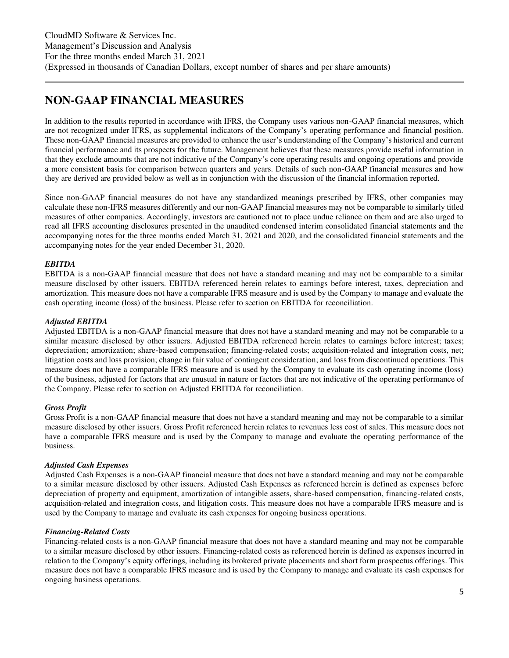# <span id="page-4-0"></span>**NON-GAAP FINANCIAL MEASURES**

In addition to the results reported in accordance with IFRS, the Company uses various non-GAAP financial measures, which are not recognized under IFRS, as supplemental indicators of the Company's operating performance and financial position. These non-GAAP financial measures are provided to enhance the user's understanding of the Company's historical and current financial performance and its prospects for the future. Management believes that these measures provide useful information in that they exclude amounts that are not indicative of the Company's core operating results and ongoing operations and provide a more consistent basis for comparison between quarters and years. Details of such non-GAAP financial measures and how they are derived are provided below as well as in conjunction with the discussion of the financial information reported.

Since non-GAAP financial measures do not have any standardized meanings prescribed by IFRS, other companies may calculate these non-IFRS measures differently and our non-GAAP financial measures may not be comparable to similarly titled measures of other companies. Accordingly, investors are cautioned not to place undue reliance on them and are also urged to read all IFRS accounting disclosures presented in the unaudited condensed interim consolidated financial statements and the accompanying notes for the three months ended March 31, 2021 and 2020, and the consolidated financial statements and the accompanying notes for the year ended December 31, 2020.

# *EBITDA*

EBITDA is a non-GAAP financial measure that does not have a standard meaning and may not be comparable to a similar measure disclosed by other issuers. EBITDA referenced herein relates to earnings before interest, taxes, depreciation and amortization. This measure does not have a comparable IFRS measure and is used by the Company to manage and evaluate the cash operating income (loss) of the business. Please refer to section on EBITDA for reconciliation.

# *Adjusted EBITDA*

Adjusted EBITDA is a non-GAAP financial measure that does not have a standard meaning and may not be comparable to a similar measure disclosed by other issuers. Adjusted EBITDA referenced herein relates to earnings before interest; taxes; depreciation; amortization; share-based compensation; financing-related costs; acquisition-related and integration costs, net; litigation costs and loss provision; change in fair value of contingent consideration; and loss from discontinued operations. This measure does not have a comparable IFRS measure and is used by the Company to evaluate its cash operating income (loss) of the business, adjusted for factors that are unusual in nature or factors that are not indicative of the operating performance of the Company. Please refer to section on Adjusted EBITDA for reconciliation.

### *Gross Profit*

Gross Profit is a non-GAAP financial measure that does not have a standard meaning and may not be comparable to a similar measure disclosed by other issuers. Gross Profit referenced herein relates to revenues less cost of sales. This measure does not have a comparable IFRS measure and is used by the Company to manage and evaluate the operating performance of the business.

### *Adjusted Cash Expenses*

Adjusted Cash Expenses is a non-GAAP financial measure that does not have a standard meaning and may not be comparable to a similar measure disclosed by other issuers. Adjusted Cash Expenses as referenced herein is defined as expenses before depreciation of property and equipment, amortization of intangible assets, share-based compensation, financing-related costs, acquisition-related and integration costs, and litigation costs. This measure does not have a comparable IFRS measure and is used by the Company to manage and evaluate its cash expenses for ongoing business operations.

### *Financing-Related Costs*

Financing-related costs is a non-GAAP financial measure that does not have a standard meaning and may not be comparable to a similar measure disclosed by other issuers. Financing-related costs as referenced herein is defined as expenses incurred in relation to the Company's equity offerings, including its brokered private placements and short form prospectus offerings. This measure does not have a comparable IFRS measure and is used by the Company to manage and evaluate its cash expenses for ongoing business operations.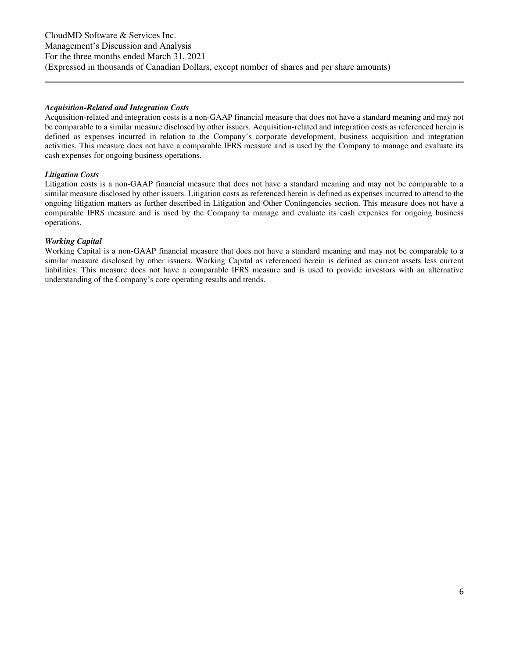#### *Acquisition-Related and Integration Costs*

Acquisition-related and integration costs is a non-GAAP financial measure that does not have a standard meaning and may not be comparable to a similar measure disclosed by other issuers. Acquisition-related and integration costs as referenced herein is defined as expenses incurred in relation to the Company's corporate development, business acquisition and integration activities. This measure does not have a comparable IFRS measure and is used by the Company to manage and evaluate its cash expenses for ongoing business operations.

#### *Litigation Costs*

Litigation costs is a non-GAAP financial measure that does not have a standard meaning and may not be comparable to a similar measure disclosed by other issuers. Litigation costs as referenced herein is defined as expenses incurred to attend to the ongoing litigation matters as further described in Litigation and Other Contingencies section. This measure does not have a comparable IFRS measure and is used by the Company to manage and evaluate its cash expenses for ongoing business operations.

#### *Working Capital*

Working Capital is a non-GAAP financial measure that does not have a standard meaning and may not be comparable to a similar measure disclosed by other issuers. Working Capital as referenced herein is defined as current assets less current liabilities. This measure does not have a comparable IFRS measure and is used to provide investors with an alternative understanding of the Company's core operating results and trends.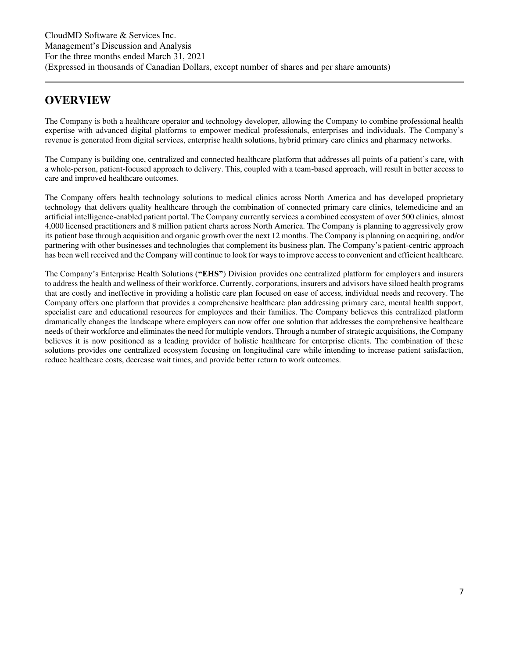# <span id="page-6-0"></span>**OVERVIEW**

The Company is both a healthcare operator and technology developer, allowing the Company to combine professional health expertise with advanced digital platforms to empower medical professionals, enterprises and individuals. The Company's revenue is generated from digital services, enterprise health solutions, hybrid primary care clinics and pharmacy networks.

The Company is building one, centralized and connected healthcare platform that addresses all points of a patient's care, with a whole-person, patient-focused approach to delivery. This, coupled with a team-based approach, will result in better access to care and improved healthcare outcomes.

The Company offers health technology solutions to medical clinics across North America and has developed proprietary technology that delivers quality healthcare through the combination of connected primary care clinics, telemedicine and an artificial intelligence-enabled patient portal. The Company currently services a combined ecosystem of over 500 clinics, almost 4,000 licensed practitioners and 8 million patient charts across North America. The Company is planning to aggressively grow its patient base through acquisition and organic growth over the next 12 months. The Company is planning on acquiring, and/or partnering with other businesses and technologies that complement its business plan. The Company's patient-centric approach has been well received and the Company will continue to look for ways to improve access to convenient and efficient healthcare.

The Company's Enterprise Health Solutions (**"EHS"**) Division provides one centralized platform for employers and insurers to address the health and wellness of their workforce. Currently, corporations, insurers and advisors have siloed health programs that are costly and ineffective in providing a holistic care plan focused on ease of access, individual needs and recovery. The Company offers one platform that provides a comprehensive healthcare plan addressing primary care, mental health support, specialist care and educational resources for employees and their families. The Company believes this centralized platform dramatically changes the landscape where employers can now offer one solution that addresses the comprehensive healthcare needs of their workforce and eliminates the need for multiple vendors. Through a number of strategic acquisitions, the Company believes it is now positioned as a leading provider of holistic healthcare for enterprise clients. The combination of these solutions provides one centralized ecosystem focusing on longitudinal care while intending to increase patient satisfaction, reduce healthcare costs, decrease wait times, and provide better return to work outcomes.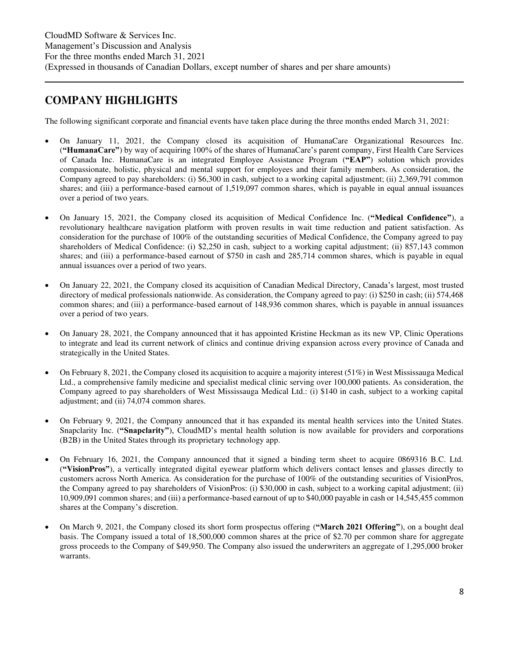# <span id="page-7-0"></span>**COMPANY HIGHLIGHTS**

The following significant corporate and financial events have taken place during the three months ended March 31, 2021:

- On January 11, 2021, the Company closed its acquisition of HumanaCare Organizational Resources Inc. (**"HumanaCare"**) by way of acquiring 100% of the shares of HumanaCare's parent company, First Health Care Services of Canada Inc. HumanaCare is an integrated Employee Assistance Program (**"EAP"**) solution which provides compassionate, holistic, physical and mental support for employees and their family members. As consideration, the Company agreed to pay shareholders: (i) \$6,300 in cash, subject to a working capital adjustment; (ii) 2,369,791 common shares; and (iii) a performance-based earnout of 1,519,097 common shares, which is payable in equal annual issuances over a period of two years.
- On January 15, 2021, the Company closed its acquisition of Medical Confidence Inc. (**"Medical Confidence"**), a revolutionary healthcare navigation platform with proven results in wait time reduction and patient satisfaction. As consideration for the purchase of 100% of the outstanding securities of Medical Confidence, the Company agreed to pay shareholders of Medical Confidence: (i) \$2,250 in cash, subject to a working capital adjustment; (ii) 857,143 common shares; and (iii) a performance-based earnout of \$750 in cash and 285,714 common shares, which is payable in equal annual issuances over a period of two years.
- On January 22, 2021, the Company closed its acquisition of Canadian Medical Directory, Canada's largest, most trusted directory of medical professionals nationwide. As consideration, the Company agreed to pay: (i) \$250 in cash; (ii) 574,468 common shares; and (iii) a performance-based earnout of 148,936 common shares, which is payable in annual issuances over a period of two years.
- On January 28, 2021, the Company announced that it has appointed Kristine Heckman as its new VP, Clinic Operations to integrate and lead its current network of clinics and continue driving expansion across every province of Canada and strategically in the United States.
- On February 8, 2021, the Company closed its acquisition to acquire a majority interest (51%) in West Mississauga Medical Ltd., a comprehensive family medicine and specialist medical clinic serving over 100,000 patients. As consideration, the Company agreed to pay shareholders of West Mississauga Medical Ltd.: (i) \$140 in cash, subject to a working capital adjustment; and (ii) 74,074 common shares.
- On February 9, 2021, the Company announced that it has expanded its mental health services into the United States. Snapclarity Inc. (**"Snapclarity"**), CloudMD's mental health solution is now available for providers and corporations (B2B) in the United States through its proprietary technology app.
- On February 16, 2021, the Company announced that it signed a binding term sheet to acquire 0869316 B.C. Ltd. (**"VisionPros"**), a vertically integrated digital eyewear platform which delivers contact lenses and glasses directly to customers across North America. As consideration for the purchase of 100% of the outstanding securities of VisionPros, the Company agreed to pay shareholders of VisionPros: (i) \$30,000 in cash, subject to a working capital adjustment; (ii) 10,909,091 common shares; and (iii) a performance-based earnout of up to \$40,000 payable in cash or 14,545,455 common shares at the Company's discretion.
- On March 9, 2021, the Company closed its short form prospectus offering (**"March 2021 Offering"**), on a bought deal basis. The Company issued a total of 18,500,000 common shares at the price of \$2.70 per common share for aggregate gross proceeds to the Company of \$49,950. The Company also issued the underwriters an aggregate of 1,295,000 broker warrants.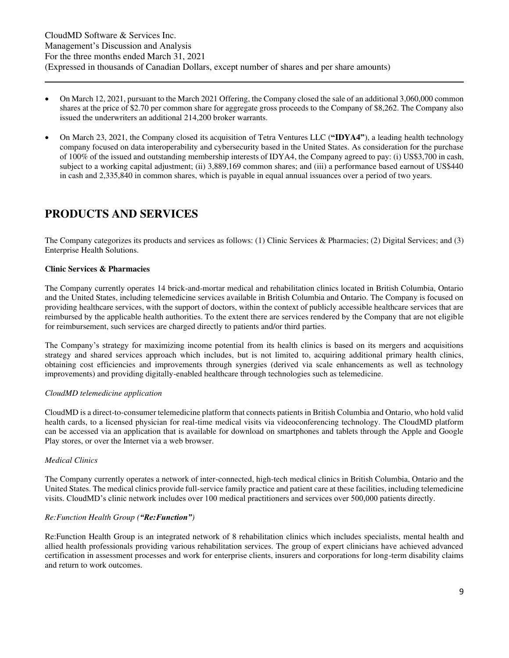- On March 12, 2021, pursuant to the March 2021 Offering, the Company closed the sale of an additional 3,060,000 common shares at the price of \$2.70 per common share for aggregate gross proceeds to the Company of \$8,262. The Company also issued the underwriters an additional 214,200 broker warrants.
- On March 23, 2021, the Company closed its acquisition of Tetra Ventures LLC (**"IDYA4"**), a leading health technology company focused on data interoperability and cybersecurity based in the United States. As consideration for the purchase of 100% of the issued and outstanding membership interests of IDYA4, the Company agreed to pay: (i) US\$3,700 in cash, subject to a working capital adjustment; (ii) 3,889,169 common shares; and (iii) a performance based earnout of US\$440 in cash and 2,335,840 in common shares, which is payable in equal annual issuances over a period of two years.

# <span id="page-8-0"></span>**PRODUCTS AND SERVICES**

The Company categorizes its products and services as follows: (1) Clinic Services & Pharmacies; (2) Digital Services; and (3) Enterprise Health Solutions.

### **Clinic Services & Pharmacies**

The Company currently operates 14 brick-and-mortar medical and rehabilitation clinics located in British Columbia, Ontario and the United States, including telemedicine services available in British Columbia and Ontario. The Company is focused on providing healthcare services, with the support of doctors, within the context of publicly accessible healthcare services that are reimbursed by the applicable health authorities. To the extent there are services rendered by the Company that are not eligible for reimbursement, such services are charged directly to patients and/or third parties.

The Company's strategy for maximizing income potential from its health clinics is based on its mergers and acquisitions strategy and shared services approach which includes, but is not limited to, acquiring additional primary health clinics, obtaining cost efficiencies and improvements through synergies (derived via scale enhancements as well as technology improvements) and providing digitally-enabled healthcare through technologies such as telemedicine.

### *CloudMD telemedicine application*

CloudMD is a direct-to-consumer telemedicine platform that connects patients in British Columbia and Ontario, who hold valid health cards, to a licensed physician for real-time medical visits via videoconferencing technology. The CloudMD platform can be accessed via an application that is available for download on smartphones and tablets through the Apple and Google Play stores, or over the Internet via a web browser.

### *Medical Clinics*

The Company currently operates a network of inter-connected, high-tech medical clinics in British Columbia, Ontario and the United States. The medical clinics provide full-service family practice and patient care at these facilities, including telemedicine visits. CloudMD's clinic network includes over 100 medical practitioners and services over 500,000 patients directly.

### *Re:Function Health Group ("Re:Function")*

Re:Function Health Group is an integrated network of 8 rehabilitation clinics which includes specialists, mental health and allied health professionals providing various rehabilitation services. The group of expert clinicians have achieved advanced certification in assessment processes and work for enterprise clients, insurers and corporations for long-term disability claims and return to work outcomes.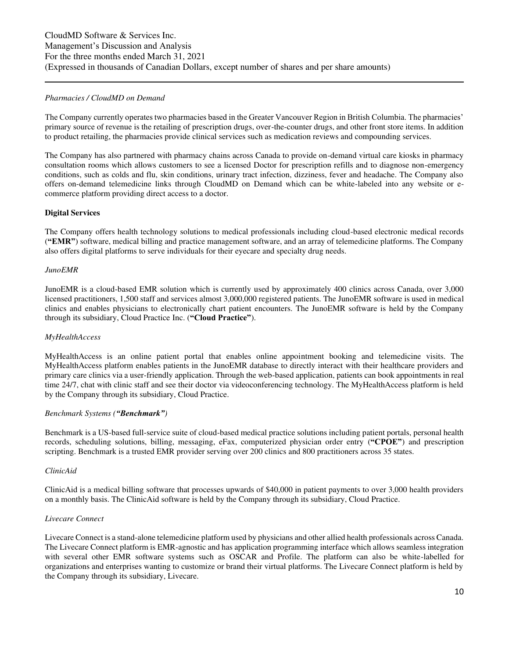#### *Pharmacies / CloudMD on Demand*

The Company currently operates two pharmacies based in the Greater Vancouver Region in British Columbia. The pharmacies' primary source of revenue is the retailing of prescription drugs, over-the-counter drugs, and other front store items. In addition to product retailing, the pharmacies provide clinical services such as medication reviews and compounding services.

The Company has also partnered with pharmacy chains across Canada to provide on-demand virtual care kiosks in pharmacy consultation rooms which allows customers to see a licensed Doctor for prescription refills and to diagnose non-emergency conditions, such as colds and flu, skin conditions, urinary tract infection, dizziness, fever and headache. The Company also offers on-demand telemedicine links through CloudMD on Demand which can be white-labeled into any website or ecommerce platform providing direct access to a doctor.

#### **Digital Services**

The Company offers health technology solutions to medical professionals including cloud-based electronic medical records (**"EMR"**) software, medical billing and practice management software, and an array of telemedicine platforms. The Company also offers digital platforms to serve individuals for their eyecare and specialty drug needs.

#### *JunoEMR*

JunoEMR is a cloud-based EMR solution which is currently used by approximately 400 clinics across Canada, over 3,000 licensed practitioners, 1,500 staff and services almost 3,000,000 registered patients. The JunoEMR software is used in medical clinics and enables physicians to electronically chart patient encounters. The JunoEMR software is held by the Company through its subsidiary, Cloud Practice Inc. (**"Cloud Practice"**).

#### *MyHealthAccess*

MyHealthAccess is an online patient portal that enables online appointment booking and telemedicine visits. The MyHealthAccess platform enables patients in the JunoEMR database to directly interact with their healthcare providers and primary care clinics via a user-friendly application. Through the web-based application, patients can book appointments in real time 24/7, chat with clinic staff and see their doctor via videoconferencing technology. The MyHealthAccess platform is held by the Company through its subsidiary, Cloud Practice.

### *Benchmark Systems ("Benchmark")*

Benchmark is a US-based full-service suite of cloud-based medical practice solutions including patient portals, personal health records, scheduling solutions, billing, messaging, eFax, computerized physician order entry (**"CPOE"**) and prescription scripting. Benchmark is a trusted EMR provider serving over 200 clinics and 800 practitioners across 35 states.

#### *ClinicAid*

ClinicAid is a medical billing software that processes upwards of \$40,000 in patient payments to over 3,000 health providers on a monthly basis. The ClinicAid software is held by the Company through its subsidiary, Cloud Practice.

### *Livecare Connect*

Livecare Connect is a stand-alone telemedicine platform used by physicians and other allied health professionals across Canada. The Livecare Connect platform is EMR-agnostic and has application programming interface which allows seamless integration with several other EMR software systems such as OSCAR and Profile. The platform can also be white-labelled for organizations and enterprises wanting to customize or brand their virtual platforms. The Livecare Connect platform is held by the Company through its subsidiary, Livecare.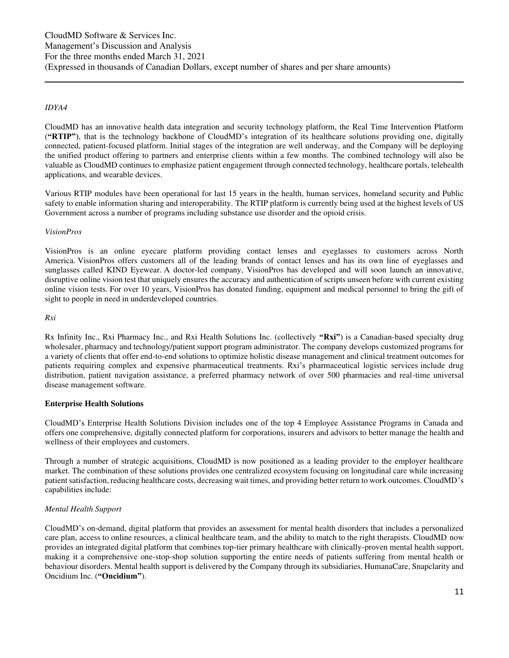#### *IDYA4*

CloudMD has an innovative health data integration and security technology platform, the Real Time Intervention Platform (**"RTIP"**), that is the technology backbone of CloudMD's integration of its healthcare solutions providing one, digitally connected, patient-focused platform. Initial stages of the integration are well underway, and the Company will be deploying the unified product offering to partners and enterprise clients within a few months. The combined technology will also be valuable as CloudMD continues to emphasize patient engagement through connected technology, healthcare portals, telehealth applications, and wearable devices.

Various RTIP modules have been operational for last 15 years in the health, human services, homeland security and Public safety to enable information sharing and interoperability. The RTIP platform is currently being used at the highest levels of US Government across a number of programs including substance use disorder and the opioid crisis.

#### *VisionPros*

VisionPros is an online eyecare platform providing contact lenses and eyeglasses to customers across North America. VisionPros offers customers all of the leading brands of contact lenses and has its own line of eyeglasses and sunglasses called KIND Eyewear. A doctor-led company, VisionPros has developed and will soon launch an innovative, disruptive online vision test that uniquely ensures the accuracy and authentication of scripts unseen before with current existing online vision tests. For over 10 years, VisionPros has donated funding, equipment and medical personnel to bring the gift of sight to people in need in underdeveloped countries.

*Rxi* 

Rx Infinity Inc., Rxi Pharmacy Inc., and Rxi Health Solutions Inc. (collectively **"Rxi"**) is a Canadian-based specialty drug wholesaler, pharmacy and technology/patient support program administrator. The company develops customized programs for a variety of clients that offer end-to-end solutions to optimize holistic disease management and clinical treatment outcomes for patients requiring complex and expensive pharmaceutical treatments. Rxi's pharmaceutical logistic services include drug distribution, patient navigation assistance, a preferred pharmacy network of over 500 pharmacies and real-time universal disease management software.

### **Enterprise Health Solutions**

CloudMD's Enterprise Health Solutions Division includes one of the top 4 Employee Assistance Programs in Canada and offers one comprehensive, digitally connected platform for corporations, insurers and advisors to better manage the health and wellness of their employees and customers.

Through a number of strategic acquisitions, CloudMD is now positioned as a leading provider to the employer healthcare market. The combination of these solutions provides one centralized ecosystem focusing on longitudinal care while increasing patient satisfaction, reducing healthcare costs, decreasing wait times, and providing better return to work outcomes. CloudMD's capabilities include:

### *Mental Health Support*

CloudMD's on-demand, digital platform that provides an assessment for mental health disorders that includes a personalized care plan, access to online resources, a clinical healthcare team, and the ability to match to the right therapists. CloudMD now provides an integrated digital platform that combines top-tier primary healthcare with clinically-proven mental health support, making it a comprehensive one-stop-shop solution supporting the entire needs of patients suffering from mental health or behaviour disorders. Mental health support is delivered by the Company through its subsidiaries, HumanaCare, Snapclarity and Oncidium Inc. (**"Oncidium"**).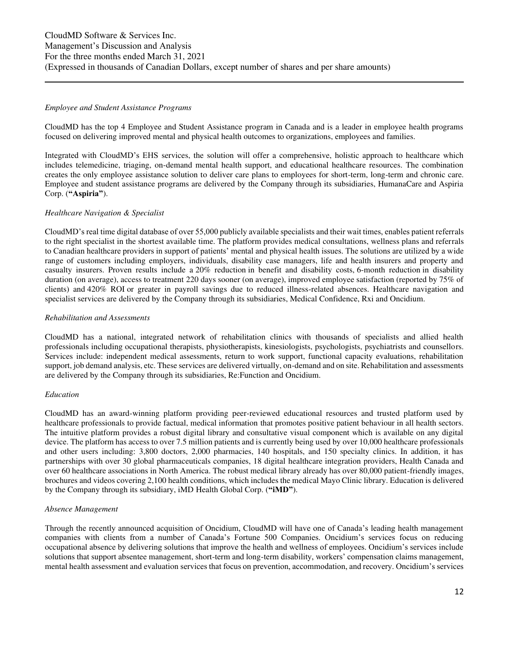#### *Employee and Student Assistance Programs*

CloudMD has the top 4 Employee and Student Assistance program in Canada and is a leader in employee health programs focused on delivering improved mental and physical health outcomes to organizations, employees and families.

Integrated with CloudMD's EHS services, the solution will offer a comprehensive, holistic approach to healthcare which includes telemedicine, triaging, on-demand mental health support, and educational healthcare resources. The combination creates the only employee assistance solution to deliver care plans to employees for short-term, long-term and chronic care. Employee and student assistance programs are delivered by the Company through its subsidiaries, HumanaCare and Aspiria Corp. (**"Aspiria"**).

### *Healthcare Navigation & Specialist*

CloudMD's real time digital database of over 55,000 publicly available specialists and their wait times, enables patient referrals to the right specialist in the shortest available time. The platform provides medical consultations, wellness plans and referrals to Canadian healthcare providers in support of patients' mental and physical health issues. The solutions are utilized by a wide range of customers including employers, individuals, disability case managers, life and health insurers and property and casualty insurers. Proven results include a 20% reduction in benefit and disability costs, 6-month reduction in disability duration (on average), access to treatment 220 days sooner (on average), improved employee satisfaction (reported by 75% of clients) and 420% ROI or greater in payroll savings due to reduced illness-related absences. Healthcare navigation and specialist services are delivered by the Company through its subsidiaries, Medical Confidence, Rxi and Oncidium.

#### *Rehabilitation and Assessments*

CloudMD has a national, integrated network of rehabilitation clinics with thousands of specialists and allied health professionals including occupational therapists, physiotherapists, kinesiologists, psychologists, psychiatrists and counsellors. Services include: independent medical assessments, return to work support, functional capacity evaluations, rehabilitation support, job demand analysis, etc. These services are delivered virtually, on-demand and on site. Rehabilitation and assessments are delivered by the Company through its subsidiaries, Re:Function and Oncidium.

#### *Education*

CloudMD has an award-winning platform providing peer-reviewed educational resources and trusted platform used by healthcare professionals to provide factual, medical information that promotes positive patient behaviour in all health sectors. The intuitive platform provides a robust digital library and consultative visual component which is available on any digital device. The platform has access to over 7.5 million patients and is currently being used by over 10,000 healthcare professionals and other users including: 3,800 doctors, 2,000 pharmacies, 140 hospitals, and 150 specialty clinics. In addition, it has partnerships with over 30 global pharmaceuticals companies, 18 digital healthcare integration providers, Health Canada and over 60 healthcare associations in North America. The robust medical library already has over 80,000 patient-friendly images, brochures and videos covering 2,100 health conditions, which includes the medical Mayo Clinic library. Education is delivered by the Company through its subsidiary, iMD Health Global Corp. (**"iMD"**).

#### *Absence Management*

Through the recently announced acquisition of Oncidium, CloudMD will have one of Canada's leading health management companies with clients from a number of Canada's Fortune 500 Companies. Oncidium's services focus on reducing occupational absence by delivering solutions that improve the health and wellness of employees. Oncidium's services include solutions that support absentee management, short-term and long-term disability, workers' compensation claims management, mental health assessment and evaluation services that focus on prevention, accommodation, and recovery. Oncidium's services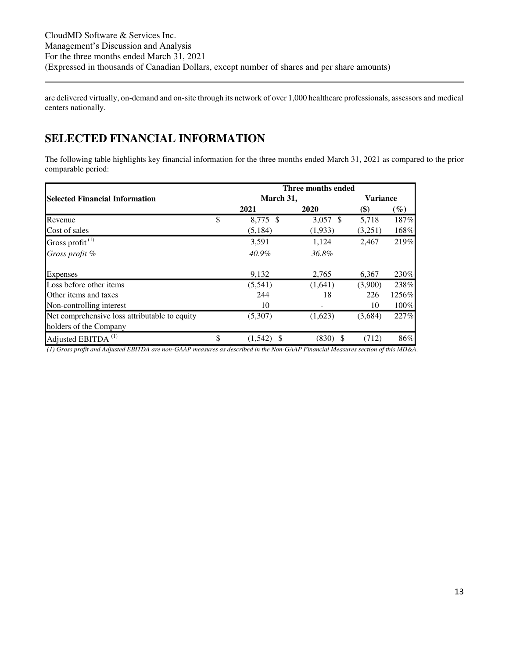are delivered virtually, on-demand and on-site through its network of over 1,000 healthcare professionals, assessors and medical centers nationally.

# <span id="page-12-0"></span>**SELECTED FINANCIAL INFORMATION**

The following table highlights key financial information for the three months ended March 31, 2021 as compared to the prior comparable period:

|                                               |                | Three months ended |                 |        |  |
|-----------------------------------------------|----------------|--------------------|-----------------|--------|--|
| <b>Selected Financial Information</b>         | March 31,      |                    | <b>Variance</b> |        |  |
|                                               | 2021           | 2020               | \$)             | $(\%)$ |  |
| Revenue                                       | \$<br>8,775 \$ | $3,057$ \$         | 5,718           | 187%   |  |
| Cost of sales                                 | (5, 184)       | (1,933)            | (3,251)         | 168%   |  |
| Gross profit $(1)$                            | 3,591          | 1,124              | 2,467           | 219%   |  |
| Gross profit %                                | 40.9%          | 36.8%              |                 |        |  |
| Expenses                                      | 9,132          | 2,765              | 6,367           | 230%   |  |
| Loss before other items                       | (5,541)        | (1,641)            | (3,900)         | 238%   |  |
| Other items and taxes                         | 244            | 18                 | 226             | 1256%  |  |
| Non-controlling interest                      | 10             |                    | 10              | 100%   |  |
| Net comprehensive loss attributable to equity | (5,307)        | (1,623)            | (3,684)         | 227%   |  |
| holders of the Company                        |                |                    |                 |        |  |
| Adjusted EBITDA <sup>(1)</sup>                | \$<br>(1,542)  | $(830)$ \$         | (712)           | 86%    |  |

*(1) Gross profit and Adjusted EBITDA are non-GAAP measures as described in the Non-GAAP Financial Measures section of this MD&A.*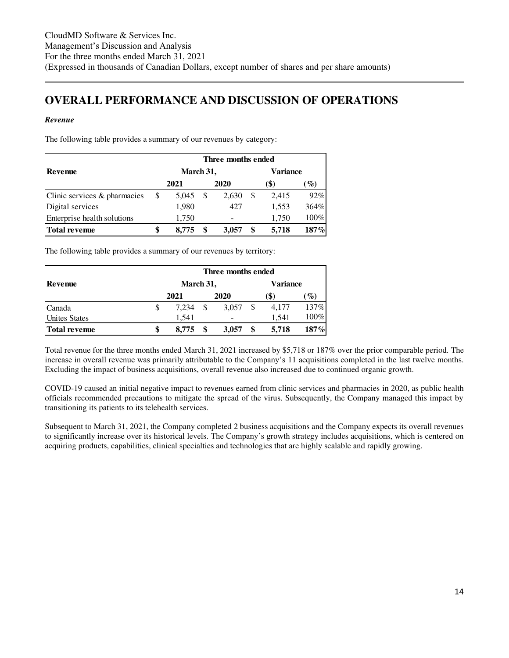# <span id="page-13-0"></span>**OVERALL PERFORMANCE AND DISCUSSION OF OPERATIONS**

### *Revenue*

The following table provides a summary of our revenues by category:

|                              | Three months ended |           |  |                 |     |                 |        |  |  |
|------------------------------|--------------------|-----------|--|-----------------|-----|-----------------|--------|--|--|
| Revenue                      |                    | March 31, |  | <b>Variance</b> |     |                 |        |  |  |
|                              | 2021               |           |  | 2020            |     | $\mathscr{G}_o$ |        |  |  |
| Clinic services & pharmacies | \$                 | 5.045     |  | 2.630           | \$. | 2,415           | $92\%$ |  |  |
| Digital services             |                    | 1,980     |  | 427             |     | 1,553           | 364%   |  |  |
| Enterprise health solutions  |                    | 1,750     |  |                 |     | 1,750           | 100%   |  |  |
| <b>Total revenue</b>         | \$                 | 8.775     |  | 3,057           |     | 5.718           | 187%   |  |  |

The following table provides a summary of our revenues by territory:

|                      |    | Three months ended |          |       |    |       |                 |  |
|----------------------|----|--------------------|----------|-------|----|-------|-----------------|--|
| Revenue              |    | March 31,          | Variance |       |    |       |                 |  |
|                      |    | 2021               |          | 2020  |    | (\$)  | $\mathscr{G}_o$ |  |
| Canada               | S  | 7.234              |          | 3.057 | \$ | 4,177 | 137%            |  |
| <b>Unites States</b> |    | 1.541              |          |       |    | 1.541 | 100%            |  |
| <b>Total revenue</b> | \$ | 8.775              |          | 3,057 |    | 5.718 | 187%            |  |

Total revenue for the three months ended March 31, 2021 increased by \$5,718 or 187% over the prior comparable period. The increase in overall revenue was primarily attributable to the Company's 11 acquisitions completed in the last twelve months. Excluding the impact of business acquisitions, overall revenue also increased due to continued organic growth.

COVID-19 caused an initial negative impact to revenues earned from clinic services and pharmacies in 2020, as public health officials recommended precautions to mitigate the spread of the virus. Subsequently, the Company managed this impact by transitioning its patients to its telehealth services.

Subsequent to March 31, 2021, the Company completed 2 business acquisitions and the Company expects its overall revenues to significantly increase over its historical levels. The Company's growth strategy includes acquisitions, which is centered on acquiring products, capabilities, clinical specialties and technologies that are highly scalable and rapidly growing.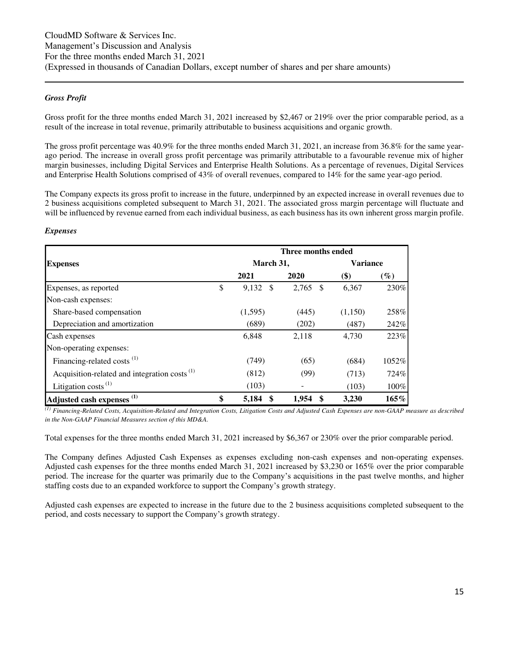#### *Gross Profit*

Gross profit for the three months ended March 31, 2021 increased by \$2,467 or 219% over the prior comparable period, as a result of the increase in total revenue, primarily attributable to business acquisitions and organic growth.

The gross profit percentage was 40.9% for the three months ended March 31, 2021, an increase from 36.8% for the same yearago period. The increase in overall gross profit percentage was primarily attributable to a favourable revenue mix of higher margin businesses, including Digital Services and Enterprise Health Solutions. As a percentage of revenues, Digital Services and Enterprise Health Solutions comprised of 43% of overall revenues, compared to 14% for the same year-ago period.

The Company expects its gross profit to increase in the future, underpinned by an expected increase in overall revenues due to 2 business acquisitions completed subsequent to March 31, 2021. The associated gross margin percentage will fluctuate and will be influenced by revenue earned from each individual business, as each business has its own inherent gross margin profile.

#### *Expenses*

|                                                          |                  | Three months ended |                 |        |  |  |
|----------------------------------------------------------|------------------|--------------------|-----------------|--------|--|--|
| <b>Expenses</b>                                          | March 31,        |                    | <b>Variance</b> |        |  |  |
|                                                          | 2021             | 2020               | \$)             | $(\%)$ |  |  |
| Expenses, as reported                                    | \$<br>$9,132$ \$ | 2,765<br>- \$      | 6,367           | 230%   |  |  |
| Non-cash expenses:                                       |                  |                    |                 |        |  |  |
| Share-based compensation                                 | (1,595)          | (445)              | (1,150)         | 258%   |  |  |
| Depreciation and amortization                            | (689)            | (202)              | (487)           | 242%   |  |  |
| Cash expenses                                            | 6,848            | 2,118              | 4,730           | 223%   |  |  |
| Non-operating expenses:                                  |                  |                    |                 |        |  |  |
| Financing-related costs <sup>(1)</sup>                   | (749)            | (65)               | (684)           | 1052%  |  |  |
| Acquisition-related and integration costs <sup>(1)</sup> | (812)            | (99)               | (713)           | 724%   |  |  |
| Litigation costs $^{(1)}$                                | (103)            |                    | (103)           | 100%   |  |  |
| Adjusted cash expenses <sup>(1)</sup>                    | \$<br>5,184      | 1,954              | 3,230           | 165%   |  |  |

*(1) Financing-Related Costs, Acquisition-Related and Integration Costs, Litigation Costs and Adjusted Cash Expenses are non-GAAP measure as described in the Non-GAAP Financial Measures section of this MD&A.* 

Total expenses for the three months ended March 31, 2021 increased by \$6,367 or 230% over the prior comparable period.

The Company defines Adjusted Cash Expenses as expenses excluding non-cash expenses and non-operating expenses. Adjusted cash expenses for the three months ended March 31, 2021 increased by \$3,230 or 165% over the prior comparable period. The increase for the quarter was primarily due to the Company's acquisitions in the past twelve months, and higher staffing costs due to an expanded workforce to support the Company's growth strategy.

Adjusted cash expenses are expected to increase in the future due to the 2 business acquisitions completed subsequent to the period, and costs necessary to support the Company's growth strategy.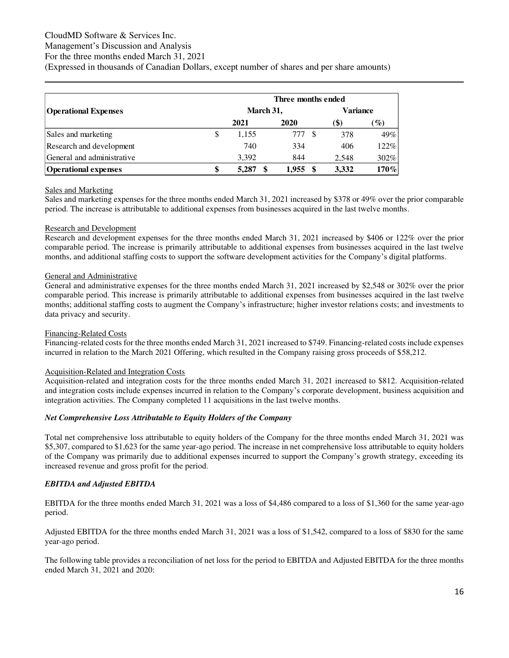#### CloudMD Software & Services Inc. Management's Discussion and Analysis

For the three months ended March 31, 2021

(Expressed in thousands of Canadian Dollars, except number of shares and per share amounts)

|                             | Three months ended |                 |       |                 |  |  |  |  |  |
|-----------------------------|--------------------|-----------------|-------|-----------------|--|--|--|--|--|
| <b>Operational Expenses</b> | March 31,          | <b>Variance</b> |       |                 |  |  |  |  |  |
|                             | 2021               | 2020            | (\$)  | $\mathscr{G}_o$ |  |  |  |  |  |
| Sales and marketing         | \$<br>1,155        | 777             | 378   | 49%             |  |  |  |  |  |
| Research and development    | 740                | 334             | 406   | 122%            |  |  |  |  |  |
| General and administrative  | 3.392              | 844             | 2.548 | 302%            |  |  |  |  |  |
| <b>Operational expenses</b> | 5,287              | 1.955           | 3,332 | 170%            |  |  |  |  |  |

### Sales and Marketing

Sales and marketing expenses for the three months ended March 31, 2021 increased by \$378 or 49% over the prior comparable period. The increase is attributable to additional expenses from businesses acquired in the last twelve months.

# Research and Development

Research and development expenses for the three months ended March 31, 2021 increased by \$406 or 122% over the prior comparable period. The increase is primarily attributable to additional expenses from businesses acquired in the last twelve months, and additional staffing costs to support the software development activities for the Company's digital platforms.

### General and Administrative

General and administrative expenses for the three months ended March 31, 2021 increased by \$2,548 or 302% over the prior comparable period. This increase is primarily attributable to additional expenses from businesses acquired in the last twelve months; additional staffing costs to augment the Company's infrastructure; higher investor relations costs; and investments to data privacy and security.

### Financing-Related Costs

Financing-related costs for the three months ended March 31, 2021 increased to \$749. Financing-related costs include expenses incurred in relation to the March 2021 Offering, which resulted in the Company raising gross proceeds of \$58,212.

### Acquisition-Related and Integration Costs

Acquisition-related and integration costs for the three months ended March 31, 2021 increased to \$812. Acquisition-related and integration costs include expenses incurred in relation to the Company's corporate development, business acquisition and integration activities. The Company completed 11 acquisitions in the last twelve months.

### *Net Comprehensive Loss Attributable to Equity Holders of the Company*

Total net comprehensive loss attributable to equity holders of the Company for the three months ended March 31, 2021 was \$5,307, compared to \$1,623 for the same year-ago period. The increase in net comprehensive loss attributable to equity holders of the Company was primarily due to additional expenses incurred to support the Company's growth strategy, exceeding its increased revenue and gross profit for the period.

# *EBITDA and Adjusted EBITDA*

EBITDA for the three months ended March 31, 2021 was a loss of \$4,486 compared to a loss of \$1,360 for the same year-ago period.

Adjusted EBITDA for the three months ended March 31, 2021 was a loss of \$1,542, compared to a loss of \$830 for the same year-ago period.

The following table provides a reconciliation of net loss for the period to EBITDA and Adjusted EBITDA for the three months ended March 31, 2021 and 2020: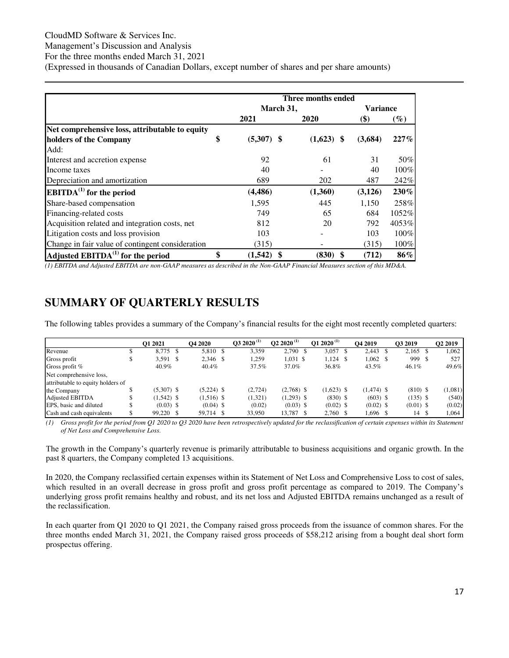# CloudMD Software & Services Inc.

Management's Discussion and Analysis

For the three months ended March 31, 2021

(Expressed in thousands of Canadian Dollars, except number of shares and per share amounts)

|                                                  |                     | Three months ended |                 |         |
|--------------------------------------------------|---------------------|--------------------|-----------------|---------|
|                                                  | March 31,           |                    | <b>Variance</b> |         |
|                                                  | 2021                | 2020               | \$)             | $(\%)$  |
| Net comprehensive loss, attributable to equity   |                     |                    |                 |         |
| holders of the Company                           | \$<br>$(5,307)$ \$  | $(1,623)$ \$       | (3,684)         | $227\%$ |
| Add:                                             |                     |                    |                 |         |
| Interest and accretion expense                   | 92                  | 61                 | 31              | 50%     |
| Income taxes                                     | 40                  |                    | 40              | 100%    |
| Depreciation and amortization                    | 689                 | 202                | 487             | 242%    |
| $EBITDA(1)$ for the period                       | (4, 486)            | (1,360)            | (3,126)         | 230%    |
| Share-based compensation                         | 1,595               | 445                | 1,150           | 258%    |
| Financing-related costs                          | 749                 | 65                 | 684             | 1052%   |
| Acquisition related and integration costs, net   | 812                 | 20                 | 792             | 4053%   |
| Litigation costs and loss provision              | 103                 |                    | 103             | 100%    |
| Change in fair value of contingent consideration | (315)               |                    | (315)           | 100%    |
| Adjusted $EBITDA(1)$ for the period              | \$<br>(1, 542)<br>S | \$<br>(830)        | (712)           | 86%     |

*(1) EBITDA and Adjusted EBITDA are non-GAAP measures as described in the Non-GAAP Financial Measures section of this MD&A.*

# <span id="page-16-0"></span>**SUMMARY OF QUARTERLY RESULTS**

The following tables provides a summary of the Company's financial results for the eight most recently completed quarters:

|                                   | O1 2021      | <b>O4 2020</b> | $032020^{(1)}$ | $Q22020^{(1)}$ | O1 2020 <sup>(1)</sup> | O <sub>4</sub> 2019 | O3 2019     | O <sub>2</sub> 2019 |
|-----------------------------------|--------------|----------------|----------------|----------------|------------------------|---------------------|-------------|---------------------|
| Revenue                           | 8,775 \$     | 5,810 \$       | 3,359          | 2,790 \$       | $3,057$ \$             | $2.443 \quad $$     | $2,165$ \$  | 1.062               |
| Gross profit                      | $3,591$ \$   | 2,346 \$       | 1,259          | $1,031$ \$     | $1,124$ \$             | $1,062 \quad$ \$    | 999 \$      | 527                 |
| Gross profit $%$                  | 40.9%        | 40.4%          | 37.5%          | 37.0%          | 36.8%                  | 43.5%               | $46.1\%$    | 49.6%               |
| Net comprehensive loss,           |              |                |                |                |                        |                     |             |                     |
| attributable to equity holders of |              |                |                |                |                        |                     |             |                     |
| the Company                       | $(5,307)$ \$ | $(5,224)$ \$   | (2,724)        | $(2,768)$ \$   | $(1,623)$ \$           | $(1,474)$ \$        | $(810)$ \$  | (1,081)             |
| Adjusted EBITDA                   | $(1,542)$ \$ | $(1,516)$ \$   | (1,321)        | $(1,293)$ \$   | $(830)$ \$             | $(603)$ \$          | $(135)$ \$  | (540)               |
| EPS, basic and diluted            | $(0.03)$ \$  | $(0.04)$ \$    | (0.02)         | $(0.03)$ \$    | $(0.02)$ \$            | $(0.02)$ \$         | $(0.01)$ \$ | (0.02)              |
| Cash and cash equivalents         | 99.220 \$    | 59.714 \$      | 33.950         | 13,787 \$      | 2,760 \$               | 1,696 \$            | 14          | 1.064               |

*(1) Gross profit for the period from Q1 2020 to Q3 2020 have been retrospectively updated for the reclassification of certain expenses within its Statement of Net Loss and Comprehensive Loss.* 

The growth in the Company's quarterly revenue is primarily attributable to business acquisitions and organic growth. In the past 8 quarters, the Company completed 13 acquisitions.

In 2020, the Company reclassified certain expenses within its Statement of Net Loss and Comprehensive Loss to cost of sales, which resulted in an overall decrease in gross profit and gross profit percentage as compared to 2019. The Company's underlying gross profit remains healthy and robust, and its net loss and Adjusted EBITDA remains unchanged as a result of the reclassification.

In each quarter from Q1 2020 to Q1 2021, the Company raised gross proceeds from the issuance of common shares. For the three months ended March 31, 2021, the Company raised gross proceeds of \$58,212 arising from a bought deal short form prospectus offering.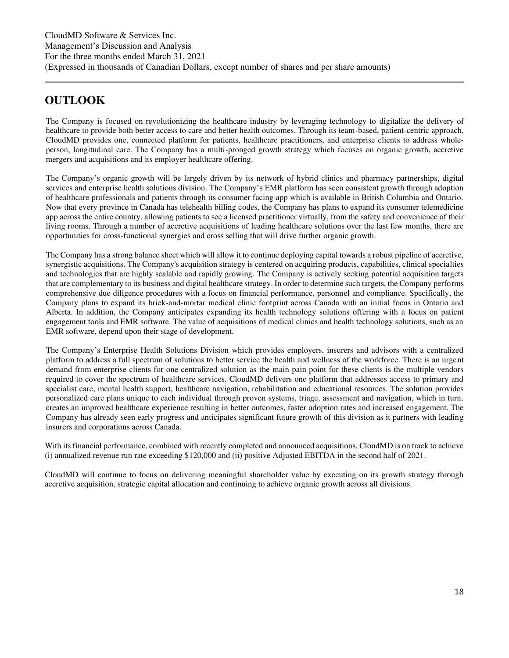# <span id="page-17-0"></span>**OUTLOOK**

The Company is focused on revolutionizing the healthcare industry by leveraging technology to digitalize the delivery of healthcare to provide both better access to care and better health outcomes. Through its team-based, patient-centric approach, CloudMD provides one, connected platform for patients, healthcare practitioners, and enterprise clients to address wholeperson, longitudinal care. The Company has a multi-pronged growth strategy which focuses on organic growth, accretive mergers and acquisitions and its employer healthcare offering.

The Company's organic growth will be largely driven by its network of hybrid clinics and pharmacy partnerships, digital services and enterprise health solutions division. The Company's EMR platform has seen consistent growth through adoption of healthcare professionals and patients through its consumer facing app which is available in British Columbia and Ontario. Now that every province in Canada has telehealth billing codes, the Company has plans to expand its consumer telemedicine app across the entire country, allowing patients to see a licensed practitioner virtually, from the safety and convenience of their living rooms. Through a number of accretive acquisitions of leading healthcare solutions over the last few months, there are opportunities for cross-functional synergies and cross selling that will drive further organic growth.

The Company has a strong balance sheet which will allow it to continue deploying capital towards a robust pipeline of accretive, synergistic acquisitions. The Company's acquisition strategy is centered on acquiring products, capabilities, clinical specialties and technologies that are highly scalable and rapidly growing. The Company is actively seeking potential acquisition targets that are complementary to its business and digital healthcare strategy. In order to determine such targets, the Company performs comprehensive due diligence procedures with a focus on financial performance, personnel and compliance. Specifically, the Company plans to expand its brick-and-mortar medical clinic footprint across Canada with an initial focus in Ontario and Alberta. In addition, the Company anticipates expanding its health technology solutions offering with a focus on patient engagement tools and EMR software. The value of acquisitions of medical clinics and health technology solutions, such as an EMR software, depend upon their stage of development.

The Company's Enterprise Health Solutions Division which provides employers, insurers and advisors with a centralized platform to address a full spectrum of solutions to better service the health and wellness of the workforce. There is an urgent demand from enterprise clients for one centralized solution as the main pain point for these clients is the multiple vendors required to cover the spectrum of healthcare services. CloudMD delivers one platform that addresses access to primary and specialist care, mental health support, healthcare navigation, rehabilitation and educational resources. The solution provides personalized care plans unique to each individual through proven systems, triage, assessment and navigation, which in turn, creates an improved healthcare experience resulting in better outcomes, faster adoption rates and increased engagement. The Company has already seen early progress and anticipates significant future growth of this division as it partners with leading insurers and corporations across Canada.

With its financial performance, combined with recently completed and announced acquisitions, CloudMD is on track to achieve (i) annualized revenue run rate exceeding \$120,000 and (ii) positive Adjusted EBITDA in the second half of 2021.

CloudMD will continue to focus on delivering meaningful shareholder value by executing on its growth strategy through accretive acquisition, strategic capital allocation and continuing to achieve organic growth across all divisions.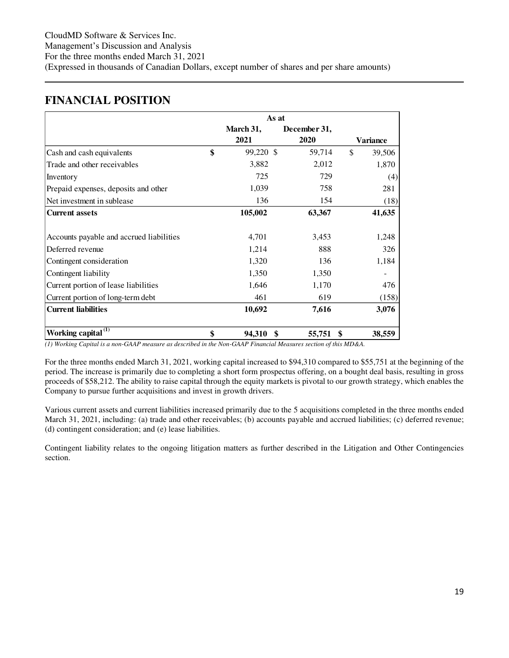# <span id="page-18-0"></span>**FINANCIAL POSITION**

|                                          | As at           |              |                 |
|------------------------------------------|-----------------|--------------|-----------------|
|                                          | March 31,       | December 31, |                 |
|                                          | 2021            | 2020         | <b>Variance</b> |
| Cash and cash equivalents                | \$<br>99,220 \$ | 59,714       | \$<br>39,506    |
| Trade and other receivables              | 3,882           | 2,012        | 1,870           |
| Inventory                                | 725             | 729          | (4)             |
| Prepaid expenses, deposits and other     | 1,039           | 758          | 281             |
| Net investment in sublease               | 136             | 154          | (18)            |
| <b>Current assets</b>                    | 105,002         | 63,367       | 41,635          |
|                                          |                 |              |                 |
| Accounts payable and accrued liabilities | 4,701           | 3,453        | 1,248           |
| Deferred revenue                         | 1,214           | 888          | 326             |
| Contingent consideration                 | 1,320           | 136          | 1,184           |
| Contingent liability                     | 1,350           | 1,350        |                 |
| Current portion of lease liabilities     | 1,646           | 1,170        | 476             |
| Current portion of long-term debt        | 461             | 619          | (158)           |
| <b>Current liabilities</b>               | 10,692          | 7,616        | 3,076           |
| Working capital <sup>(1)</sup>           | 94,310          | 55,751       | 38,559          |

*(1) Working Capital is a non-GAAP measure as described in the Non-GAAP Financial Measures section of this MD&A.* 

For the three months ended March 31, 2021, working capital increased to \$94,310 compared to \$55,751 at the beginning of the period. The increase is primarily due to completing a short form prospectus offering, on a bought deal basis, resulting in gross proceeds of \$58,212. The ability to raise capital through the equity markets is pivotal to our growth strategy, which enables the Company to pursue further acquisitions and invest in growth drivers.

Various current assets and current liabilities increased primarily due to the 5 acquisitions completed in the three months ended March 31, 2021, including: (a) trade and other receivables; (b) accounts payable and accrued liabilities; (c) deferred revenue; (d) contingent consideration; and (e) lease liabilities.

Contingent liability relates to the ongoing litigation matters as further described in the Litigation and Other Contingencies section.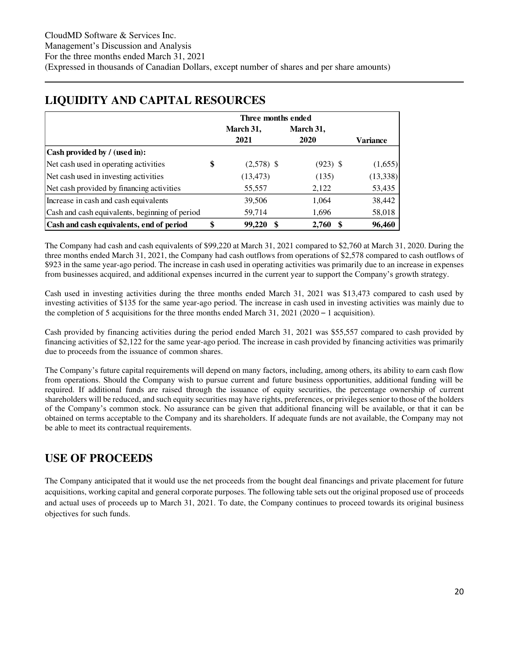|                                                | Three months ended |            |                 |
|------------------------------------------------|--------------------|------------|-----------------|
|                                                | March 31,          | March 31,  |                 |
|                                                | 2021               | 2020       | <b>Variance</b> |
| Cash provided by / (used in):                  |                    |            |                 |
| Net cash used in operating activities          | \$<br>$(2,578)$ \$ | $(923)$ \$ | (1,655)         |
| Net cash used in investing activities          | (13, 473)          | (135)      | (13, 338)       |
| Net cash provided by financing activities      | 55,557             | 2,122      | 53,435          |
| Increase in cash and cash equivalents          | 39,506             | 1,064      | 38,442          |
| Cash and cash equivalents, beginning of period | 59,714             | 1,696      | 58,018          |
| Cash and cash equivalents, end of period       | \$<br>99,220       | 2,760      | 96,460          |

# <span id="page-19-0"></span>**LIQUIDITY AND CAPITAL RESOURCES**

The Company had cash and cash equivalents of \$99,220 at March 31, 2021 compared to \$2,760 at March 31, 2020. During the three months ended March 31, 2021, the Company had cash outflows from operations of \$2,578 compared to cash outflows of \$923 in the same year-ago period. The increase in cash used in operating activities was primarily due to an increase in expenses from businesses acquired, and additional expenses incurred in the current year to support the Company's growth strategy.

Cash used in investing activities during the three months ended March 31, 2021 was \$13,473 compared to cash used by investing activities of \$135 for the same year-ago period. The increase in cash used in investing activities was mainly due to the completion of 5 acquisitions for the three months ended March 31, 2021 (2020 – 1 acquisition).

Cash provided by financing activities during the period ended March 31, 2021 was \$55,557 compared to cash provided by financing activities of \$2,122 for the same year-ago period. The increase in cash provided by financing activities was primarily due to proceeds from the issuance of common shares.

The Company's future capital requirements will depend on many factors, including, among others, its ability to earn cash flow from operations. Should the Company wish to pursue current and future business opportunities, additional funding will be required. If additional funds are raised through the issuance of equity securities, the percentage ownership of current shareholders will be reduced, and such equity securities may have rights, preferences, or privileges senior to those of the holders of the Company's common stock. No assurance can be given that additional financing will be available, or that it can be obtained on terms acceptable to the Company and its shareholders. If adequate funds are not available, the Company may not be able to meet its contractual requirements.

# <span id="page-19-1"></span>**USE OF PROCEEDS**

The Company anticipated that it would use the net proceeds from the bought deal financings and private placement for future acquisitions, working capital and general corporate purposes. The following table sets out the original proposed use of proceeds and actual uses of proceeds up to March 31, 2021. To date, the Company continues to proceed towards its original business objectives for such funds.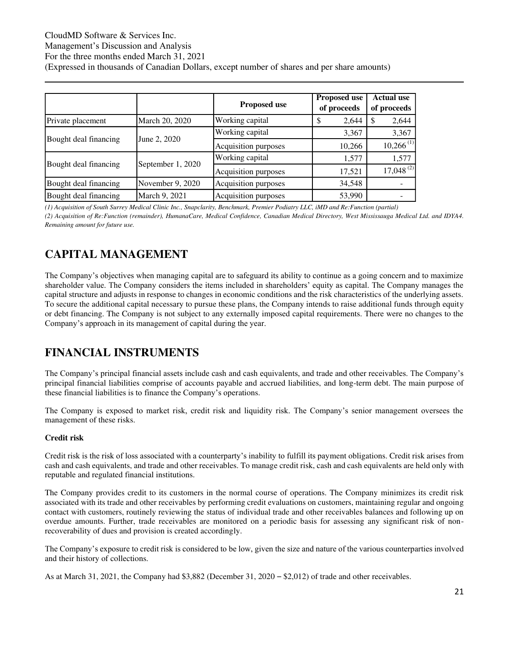# CloudMD Software & Services Inc. Management's Discussion and Analysis For the three months ended March 31, 2021 (Expressed in thousands of Canadian Dollars, except number of shares and per share amounts)

|                       |                   | <b>Proposed use</b>  | <b>Proposed use</b><br>of proceeds | <b>Actual use</b><br>of proceeds |
|-----------------------|-------------------|----------------------|------------------------------------|----------------------------------|
| Private placement     | March 20, 2020    | Working capital      | \$<br>2,644                        | 2,644<br>-S                      |
| Bought deal financing |                   | Working capital      | 3,367                              | 3,367                            |
|                       | June 2, 2020      | Acquisition purposes | 10,266                             | $10,266^{(1)}$                   |
|                       |                   | Working capital      | 1,577                              | 1,577                            |
| Bought deal financing | September 1, 2020 | Acquisition purposes | 17,521                             | $17,048^{(2)}$                   |
| Bought deal financing | November 9, 2020  | Acquisition purposes | 34,548                             |                                  |
| Bought deal financing | March 9, 2021     | Acquisition purposes | 53,990                             |                                  |

*(1) Acquisition of South Surrey Medical Clinic Inc., Snapclarity, Benchmark, Premier Podiatry LLC, iMD and Re:Function (partial)* 

*(2) Acquisition of Re:Function (remainder), HumanaCare, Medical Confidence, Canadian Medical Directory, West Mississauga Medical Ltd. and IDYA4. Remaining amount for future use.* 

# <span id="page-20-0"></span>**CAPITAL MANAGEMENT**

The Company's objectives when managing capital are to safeguard its ability to continue as a going concern and to maximize shareholder value. The Company considers the items included in shareholders' equity as capital. The Company manages the capital structure and adjusts in response to changes in economic conditions and the risk characteristics of the underlying assets. To secure the additional capital necessary to pursue these plans, the Company intends to raise additional funds through equity or debt financing. The Company is not subject to any externally imposed capital requirements. There were no changes to the Company's approach in its management of capital during the year.

# <span id="page-20-1"></span>**FINANCIAL INSTRUMENTS**

The Company's principal financial assets include cash and cash equivalents, and trade and other receivables. The Company's principal financial liabilities comprise of accounts payable and accrued liabilities, and long-term debt. The main purpose of these financial liabilities is to finance the Company's operations.

The Company is exposed to market risk, credit risk and liquidity risk. The Company's senior management oversees the management of these risks.

# **Credit risk**

Credit risk is the risk of loss associated with a counterparty's inability to fulfill its payment obligations. Credit risk arises from cash and cash equivalents, and trade and other receivables. To manage credit risk, cash and cash equivalents are held only with reputable and regulated financial institutions.

The Company provides credit to its customers in the normal course of operations. The Company minimizes its credit risk associated with its trade and other receivables by performing credit evaluations on customers, maintaining regular and ongoing contact with customers, routinely reviewing the status of individual trade and other receivables balances and following up on overdue amounts. Further, trade receivables are monitored on a periodic basis for assessing any significant risk of nonrecoverability of dues and provision is created accordingly.

The Company's exposure to credit risk is considered to be low, given the size and nature of the various counterparties involved and their history of collections.

As at March 31, 2021, the Company had \$3,882 (December 31, 2020 – \$2,012) of trade and other receivables.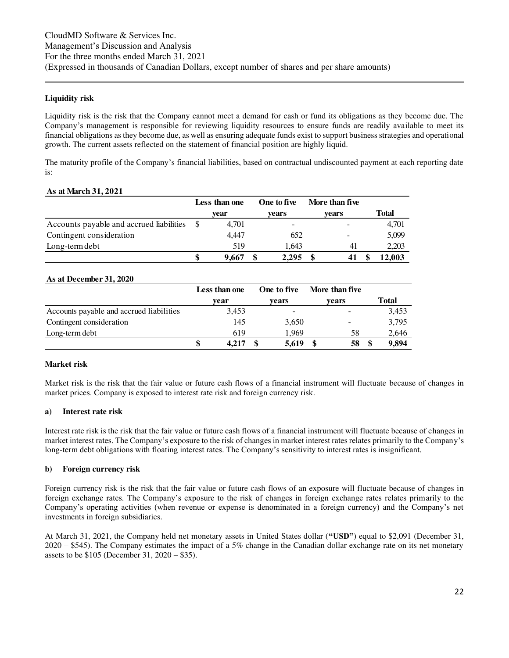### **Liquidity risk**

Liquidity risk is the risk that the Company cannot meet a demand for cash or fund its obligations as they become due. The Company's management is responsible for reviewing liquidity resources to ensure funds are readily available to meet its financial obligations as they become due, as well as ensuring adequate funds exist to support business strategies and operational growth. The current assets reflected on the statement of financial position are highly liquid.

The maturity profile of the Company's financial liabilities, based on contractual undiscounted payment at each reporting date is:

#### **As at March 31, 2021**

|                                          | Less than one |       | One to five |  | More than five |              |
|------------------------------------------|---------------|-------|-------------|--|----------------|--------------|
|                                          |               | vear  | vears       |  | vears          | <b>Total</b> |
| Accounts payable and accrued liabilities |               | 4.701 | -           |  |                | 4,701        |
| Contingent consideration                 |               | 4.447 | 652         |  | -              | 5,099        |
| Long-term debt                           |               | 519   | 1.643       |  | 41             | 2.203        |
|                                          |               | 9.667 | 2,295       |  |                | 12.003       |

#### **As at December 31, 2020**

|                                          | Less than one | One to five | More than five |       |
|------------------------------------------|---------------|-------------|----------------|-------|
|                                          | vear          | vears       | vears          | Total |
| Accounts payable and accrued liabilities | 3.453         | -           | -              | 3,453 |
| Contingent consideration                 | 145           | 3.650       | -              | 3,795 |
| Long-term debt                           | 619           | 1.969       | 58             | 2.646 |
|                                          | 4.217         | 5,619       | 58             | 9.894 |

### **Market risk**

Market risk is the risk that the fair value or future cash flows of a financial instrument will fluctuate because of changes in market prices. Company is exposed to interest rate risk and foreign currency risk.

### **a) Interest rate risk**

Interest rate risk is the risk that the fair value or future cash flows of a financial instrument will fluctuate because of changes in market interest rates. The Company's exposure to the risk of changes in market interest rates relates primarily to the Company's long-term debt obligations with floating interest rates. The Company's sensitivity to interest rates is insignificant.

### **b) Foreign currency risk**

Foreign currency risk is the risk that the fair value or future cash flows of an exposure will fluctuate because of changes in foreign exchange rates. The Company's exposure to the risk of changes in foreign exchange rates relates primarily to the Company's operating activities (when revenue or expense is denominated in a foreign currency) and the Company's net investments in foreign subsidiaries.

At March 31, 2021, the Company held net monetary assets in United States dollar (**"USD"**) equal to \$2,091 (December 31,  $2020 - $545$ ). The Company estimates the impact of a 5% change in the Canadian dollar exchange rate on its net monetary assets to be \$105 (December 31, 2020 – \$35).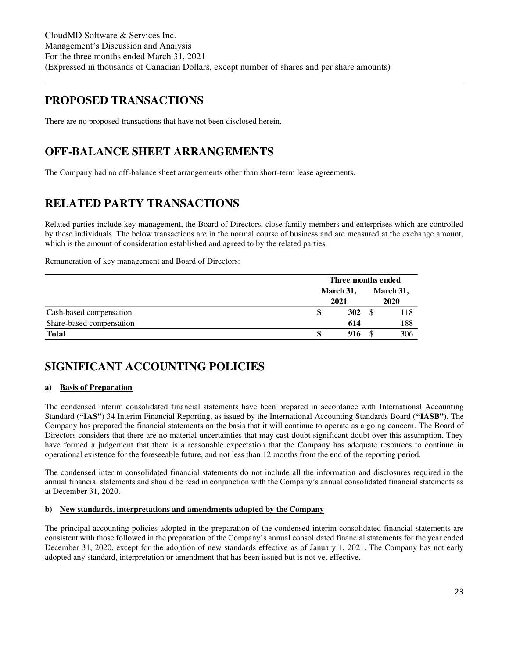# **PROPOSED TRANSACTIONS**

There are no proposed transactions that have not been disclosed herein.

# <span id="page-22-0"></span>**OFF-BALANCE SHEET ARRANGEMENTS**

The Company had no off-balance sheet arrangements other than short-term lease agreements.

# <span id="page-22-1"></span>**RELATED PARTY TRANSACTIONS**

Related parties include key management, the Board of Directors, close family members and enterprises which are controlled by these individuals. The below transactions are in the normal course of business and are measured at the exchange amount, which is the amount of consideration established and agreed to by the related parties.

Remuneration of key management and Board of Directors:

|                          | Three months ended |  |           |  |
|--------------------------|--------------------|--|-----------|--|
|                          | March 31,          |  | March 31, |  |
|                          | 2021               |  | 2020      |  |
| Cash-based compensation  | 302                |  | 118       |  |
| Share-based compensation | 614                |  | 188       |  |
| <b>Total</b>             | 916                |  | 306       |  |

# <span id="page-22-2"></span>**SIGNIFICANT ACCOUNTING POLICIES**

### **a) Basis of Preparation**

The condensed interim consolidated financial statements have been prepared in accordance with International Accounting Standard (**"IAS"**) 34 Interim Financial Reporting, as issued by the International Accounting Standards Board (**"IASB"**). The Company has prepared the financial statements on the basis that it will continue to operate as a going concern. The Board of Directors considers that there are no material uncertainties that may cast doubt significant doubt over this assumption. They have formed a judgement that there is a reasonable expectation that the Company has adequate resources to continue in operational existence for the foreseeable future, and not less than 12 months from the end of the reporting period.

The condensed interim consolidated financial statements do not include all the information and disclosures required in the annual financial statements and should be read in conjunction with the Company's annual consolidated financial statements as at December 31, 2020.

### **b) New standards, interpretations and amendments adopted by the Company**

The principal accounting policies adopted in the preparation of the condensed interim consolidated financial statements are consistent with those followed in the preparation of the Company's annual consolidated financial statements for the year ended December 31, 2020, except for the adoption of new standards effective as of January 1, 2021. The Company has not early adopted any standard, interpretation or amendment that has been issued but is not yet effective.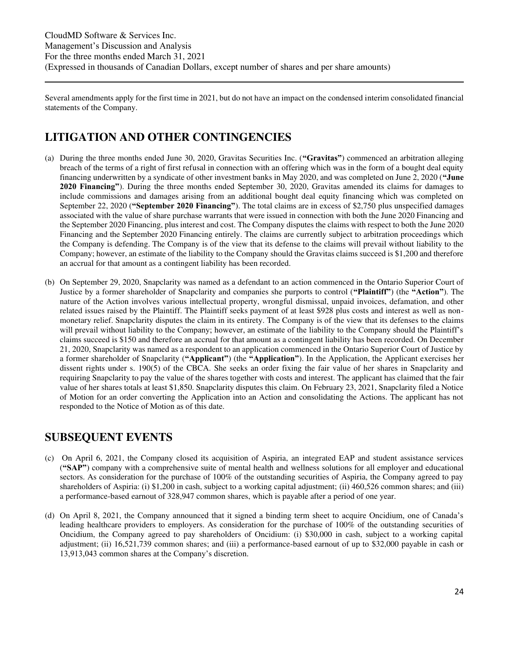Several amendments apply for the first time in 2021, but do not have an impact on the condensed interim consolidated financial statements of the Company.

# <span id="page-23-0"></span>**LITIGATION AND OTHER CONTINGENCIES**

- (a) During the three months ended June 30, 2020, Gravitas Securities Inc. (**"Gravitas"**) commenced an arbitration alleging breach of the terms of a right of first refusal in connection with an offering which was in the form of a bought deal equity financing underwritten by a syndicate of other investment banks in May 2020, and was completed on June 2, 2020 (**"June 2020 Financing"**). During the three months ended September 30, 2020, Gravitas amended its claims for damages to include commissions and damages arising from an additional bought deal equity financing which was completed on September 22, 2020 (**"September 2020 Financing"**). The total claims are in excess of \$2,750 plus unspecified damages associated with the value of share purchase warrants that were issued in connection with both the June 2020 Financing and the September 2020 Financing, plus interest and cost. The Company disputes the claims with respect to both the June 2020 Financing and the September 2020 Financing entirely. The claims are currently subject to arbitration proceedings which the Company is defending. The Company is of the view that its defense to the claims will prevail without liability to the Company; however, an estimate of the liability to the Company should the Gravitas claims succeed is \$1,200 and therefore an accrual for that amount as a contingent liability has been recorded.
- (b) On September 29, 2020, Snapclarity was named as a defendant to an action commenced in the Ontario Superior Court of Justice by a former shareholder of Snapclarity and companies she purports to control (**"Plaintiff"**) (the **"Action"**). The nature of the Action involves various intellectual property, wrongful dismissal, unpaid invoices, defamation, and other related issues raised by the Plaintiff. The Plaintiff seeks payment of at least \$928 plus costs and interest as well as nonmonetary relief. Snapclarity disputes the claim in its entirety. The Company is of the view that its defenses to the claims will prevail without liability to the Company; however, an estimate of the liability to the Company should the Plaintiff's claims succeed is \$150 and therefore an accrual for that amount as a contingent liability has been recorded. On December 21, 2020, Snapclarity was named as a respondent to an application commenced in the Ontario Superior Court of Justice by a former shareholder of Snapclarity (**"Applicant"**) (the **"Application"**). In the Application, the Applicant exercises her dissent rights under s. 190(5) of the CBCA. She seeks an order fixing the fair value of her shares in Snapclarity and requiring Snapclarity to pay the value of the shares together with costs and interest. The applicant has claimed that the fair value of her shares totals at least \$1,850. Snapclarity disputes this claim. On February 23, 2021, Snapclarity filed a Notice of Motion for an order converting the Application into an Action and consolidating the Actions. The applicant has not responded to the Notice of Motion as of this date.

# <span id="page-23-1"></span>**SUBSEQUENT EVENTS**

- (c) On April 6, 2021, the Company closed its acquisition of Aspiria, an integrated EAP and student assistance services (**"SAP"**) company with a comprehensive suite of mental health and wellness solutions for all employer and educational sectors. As consideration for the purchase of 100% of the outstanding securities of Aspiria, the Company agreed to pay shareholders of Aspiria: (i) \$1,200 in cash, subject to a working capital adjustment; (ii) 460,526 common shares; and (iii) a performance-based earnout of 328,947 common shares, which is payable after a period of one year.
- (d) On April 8, 2021, the Company announced that it signed a binding term sheet to acquire Oncidium, one of Canada's leading healthcare providers to employers. As consideration for the purchase of 100% of the outstanding securities of Oncidium, the Company agreed to pay shareholders of Oncidium: (i) \$30,000 in cash, subject to a working capital adjustment; (ii) 16,521,739 common shares; and (iii) a performance-based earnout of up to \$32,000 payable in cash or 13,913,043 common shares at the Company's discretion.